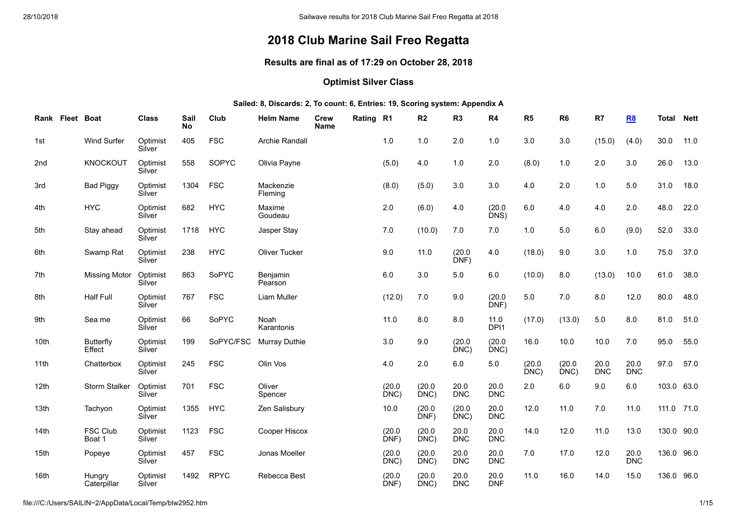# **2018 Club Marine Sail Freo Regatta**

### **Results are final as of 17:29 on October 28, 2018**

# **Optimist Silver Class**

#### **Sailed: 8, Discards: 2, To count: 6, Entries: 19, Scoring system: Appendix A**

| Rank Fleet Boat  |                            | <b>Class</b>       | Sail<br><b>No</b> | Club        | <b>Helm Name</b>     | Crew<br><b>Name</b> | Rating R1 |                | R <sub>2</sub> | R <sub>3</sub>     | R4                 | R <sub>5</sub> | R <sub>6</sub> | R7                 | <b>R8</b>          | <b>Total</b> | <b>Nett</b> |
|------------------|----------------------------|--------------------|-------------------|-------------|----------------------|---------------------|-----------|----------------|----------------|--------------------|--------------------|----------------|----------------|--------------------|--------------------|--------------|-------------|
| 1st              | Wind Surfer                | Optimist<br>Silver | 405               | <b>FSC</b>  | Archie Randall       |                     |           | 1.0            | 1.0            | 2.0                | 1.0                | 3.0            | 3.0            | (15.0)             | (4.0)              | 30.0         | 11.0        |
| 2nd              | <b>KNOCKOUT</b>            | Optimist<br>Silver | 558               | SOPYC       | Olivia Payne         |                     |           | (5.0)          | 4.0            | 1.0                | 2.0                | (8.0)          | 1.0            | 2.0                | 3.0                | 26.0         | 13.0        |
| 3rd              | <b>Bad Piggy</b>           | Optimist<br>Silver | 1304              | <b>FSC</b>  | Mackenzie<br>Fleming |                     |           | (8.0)          | (5.0)          | 3.0                | 3.0                | 4.0            | 2.0            | 1.0                | 5.0                | 31.0         | 18.0        |
| 4th              | <b>HYC</b>                 | Optimist<br>Silver | 682               | <b>HYC</b>  | Maxime<br>Goudeau    |                     |           | 2.0            | (6.0)          | 4.0                | (20.0)<br>DNS)     | 6.0            | 4.0            | 4.0                | 2.0                | 48.0         | 22.0        |
| 5th              | Stay ahead                 | Optimist<br>Silver | 1718              | <b>HYC</b>  | Jasper Stay          |                     |           | 7.0            | (10.0)         | 7.0                | $7.0\,$            | 1.0            | 5.0            | 6.0                | (9.0)              | 52.0         | 33.0        |
| 6th              | Swamp Rat                  | Optimist<br>Silver | 238               | <b>HYC</b>  | <b>Oliver Tucker</b> |                     |           | 9.0            | 11.0           | (20.0)<br>DNF)     | 4.0                | (18.0)         | 9.0            | 3.0                | $1.0$              | 75.0         | 37.0        |
| 7th              | <b>Missing Motor</b>       | Optimist<br>Silver | 863               | SoPYC       | Benjamin<br>Pearson  |                     |           | 6.0            | 3.0            | $5.0\,$            | 6.0                | (10.0)         | 8.0            | (13.0)             | 10.0               | 61.0         | 38.0        |
| 8th              | <b>Half Full</b>           | Optimist<br>Silver | 767               | <b>FSC</b>  | Liam Muller          |                     |           | (12.0)         | 7.0            | 9.0                | (20.0)<br>DNF)     | 5.0            | 7.0            | 8.0                | 12.0               | 80.0         | 48.0        |
| 9th              | Sea me                     | Optimist<br>Silver | 66                | SoPYC       | Noah<br>Karantonis   |                     |           | 11.0           | 8.0            | 8.0                | 11.0<br>DPI1       | (17.0)         | (13.0)         | 5.0                | 8.0                | 81.0         | 51.0        |
| 10th             | <b>Butterfly</b><br>Effect | Optimist<br>Silver | 199               | SoPYC/FSC   | <b>Murray Duthie</b> |                     |           | 3.0            | 9.0            | (20.0)<br>DNC)     | (20.0)<br>DNC)     | 16.0           | 10.0           | 10.0               | 7.0                | 95.0         | 55.0        |
| 11th             | Chatterbox                 | Optimist<br>Silver | 245               | <b>FSC</b>  | Olin Vos             |                     |           | 4.0            | 2.0            | 6.0                | $5.0\,$            | (20.0)<br>DNC) | (20.0)<br>DNC) | 20.0<br><b>DNC</b> | 20.0<br><b>DNC</b> | 97.0         | 57.0        |
| 12th             | Storm Stalker              | Optimist<br>Silver | 701               | <b>FSC</b>  | Oliver<br>Spencer    |                     |           | (20.0)<br>DNC) | (20.0)<br>DNC  | 20.0<br><b>DNC</b> | 20.0<br><b>DNC</b> | 2.0            | $6.0\,$        | 9.0                | 6.0                | 103.0 63.0   |             |
| 13th             | Tachyon                    | Optimist<br>Silver | 1355              | <b>HYC</b>  | Zen Salisbury        |                     |           | 10.0           | (20.0)<br>DNF) | (20.0)<br>DNC      | 20.0<br><b>DNC</b> | 12.0           | 11.0           | 7.0                | 11.0               | 111.0 71.0   |             |
| 14 <sub>th</sub> | <b>FSC Club</b><br>Boat 1  | Optimist<br>Silver | 1123              | <b>FSC</b>  | Cooper Hiscox        |                     |           | (20.0)<br>DNF) | (20.0)<br>DNC) | 20.0<br><b>DNC</b> | 20.0<br><b>DNC</b> | 14.0           | 12.0           | 11.0               | 13.0               | 130.0 90.0   |             |
| 15th             | Popeye                     | Optimist<br>Silver | 457               | <b>FSC</b>  | Jonas Moeller        |                     |           | (20.0)<br>DNC) | (20.0)<br>DNC) | 20.0<br><b>DNC</b> | 20.0<br><b>DNC</b> | 7.0            | 17.0           | 12.0               | 20.0<br><b>DNC</b> | 136.0 96.0   |             |
| 16th             | Hungry<br>Caterpillar      | Optimist<br>Silver | 1492              | <b>RPYC</b> | Rebecca Best         |                     |           | (20.0)<br>DNF) | (20.0)<br>DNC) | 20.0<br><b>DNC</b> | 20.0<br><b>DNF</b> | 11.0           | 16.0           | 14.0               | 15.0               | 136.0 96.0   |             |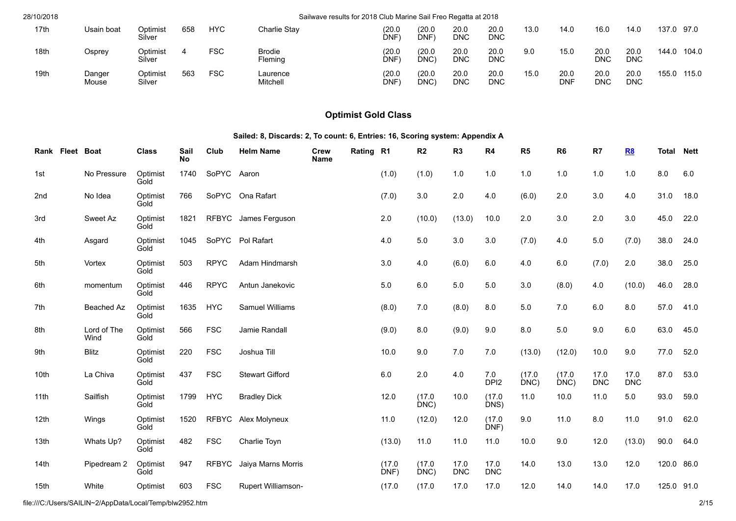| 28/10/2018 |                 |                    |     |            |                          | Sailwave results for 2018 Club Marine Sail Freo Regatta at 2018 |                            |                    |                    |      |                    |                    |             |       |       |
|------------|-----------------|--------------------|-----|------------|--------------------------|-----------------------------------------------------------------|----------------------------|--------------------|--------------------|------|--------------------|--------------------|-------------|-------|-------|
| 17th       | Usain boat      | Optimist<br>Silver | 658 | <b>HYC</b> | Charlie Stav             | (20.0)<br>DNF)                                                  | (20.0)<br>DNF <sup>®</sup> | 20.0<br><b>DNC</b> | 20.0<br><b>DNC</b> | 13.0 | 14.0               | 16.0               | 14.0        | 137.0 | 97.0  |
| 18th       | Osprev          | Optimist<br>Silver |     | FSC        | <b>Brodie</b><br>Fleming | (20.0)<br>DNF)                                                  | (20.0)<br>DNC)             | 20.0<br>DNC        | 20.0<br><b>DNC</b> | 9.0  | 15.0               | 20.0<br><b>DNC</b> | 20.0<br>DNC | 144.0 | 104.0 |
| 19th       | Danger<br>Mouse | Optimist<br>Silver | 563 | <b>FSC</b> | Laurence<br>Mitchell     | (20.0)<br>DNF)                                                  | (20.0<br>DNC)              | 20.0<br><b>DNC</b> | 20.0<br><b>DNC</b> | 15.0 | 20.0<br><b>DNF</b> | 20.0<br><b>DNC</b> | 20.0<br>DNC | 155.0 | 115.0 |

# **Optimist Gold Class**

# **Sailed: 8, Discards: 2, To count: 6, Entries: 16, Scoring system: Appendix A**

| Rank Fleet Boat |                     | <b>Class</b>     | Sail<br><b>No</b> | Club         | <b>Helm Name</b>          | <b>Crew</b><br>Name | Rating R1 |                | R2             | R <sub>3</sub>     | R4                      | R5             | R <sub>6</sub> | R7                 | <b>R8</b>          | <b>Total</b> | <b>Nett</b> |
|-----------------|---------------------|------------------|-------------------|--------------|---------------------------|---------------------|-----------|----------------|----------------|--------------------|-------------------------|----------------|----------------|--------------------|--------------------|--------------|-------------|
| 1st             | No Pressure         | Optimist<br>Gold | 1740              | SoPYC Aaron  |                           |                     |           | (1.0)          | (1.0)          | 1.0                | 1.0                     | 1.0            | 1.0            | 1.0                | 1.0                | 8.0          | 6.0         |
| 2nd             | No Idea             | Optimist<br>Gold | 766               | SoPYC        | Ona Rafart                |                     |           | (7.0)          | $3.0\,$        | 2.0                | 4.0                     | (6.0)          | 2.0            | 3.0                | 4.0                | 31.0         | 18.0        |
| 3rd             | Sweet Az            | Optimist<br>Gold | 1821              |              | RFBYC James Ferguson      |                     |           | 2.0            | (10.0)         | (13.0)             | 10.0                    | 2.0            | 3.0            | 2.0                | 3.0                | 45.0         | 22.0        |
| 4th             | Asgard              | Optimist<br>Gold | 1045              |              | SoPYC Pol Rafart          |                     |           | 4.0            | 5.0            | 3.0                | 3.0                     | (7.0)          | 4.0            | 5.0                | (7.0)              | 38.0         | 24.0        |
| 5th             | Vortex              | Optimist<br>Gold | 503               | <b>RPYC</b>  | Adam Hindmarsh            |                     |           | $3.0\,$        | 4.0            | (6.0)              | 6.0                     | 4.0            | 6.0            | (7.0)              | 2.0                | 38.0         | 25.0        |
| 6th             | momentum            | Optimist<br>Gold | 446               | <b>RPYC</b>  | Antun Janekovic           |                     |           | $5.0$          | 6.0            | $5.0\,$            | 5.0                     | 3.0            | (8.0)          | 4.0                | (10.0)             | 46.0         | 28.0        |
| 7th             | Beached Az          | Optimist<br>Gold | 1635              | <b>HYC</b>   | Samuel Williams           |                     |           | (8.0)          | 7.0            | (8.0)              | 8.0                     | 5.0            | 7.0            | 6.0                | 8.0                | 57.0         | 41.0        |
| 8th             | Lord of The<br>Wind | Optimist<br>Gold | 566               | <b>FSC</b>   | Jamie Randall             |                     |           | (9.0)          | 8.0            | (9.0)              | 9.0                     | 8.0            | 5.0            | 9.0                | 6.0                | 63.0         | 45.0        |
| 9th             | Blitz               | Optimist<br>Gold | 220               | <b>FSC</b>   | Joshua Till               |                     |           | 10.0           | 9.0            | 7.0                | 7.0                     | (13.0)         | (12.0)         | 10.0               | 9.0                | 77.0         | 52.0        |
| 10th            | La Chiva            | Optimist<br>Gold | 437               | <b>FSC</b>   | <b>Stewart Gifford</b>    |                     |           | $6.0\,$        | 2.0            | 4.0                | 7.0<br>DPI <sub>2</sub> | (17.0)<br>DNC) | (17.0)<br>DNC) | 17.0<br><b>DNC</b> | 17.0<br><b>DNC</b> | 87.0         | 53.0        |
| 11th            | Sailfish            | Optimist<br>Gold | 1799              | <b>HYC</b>   | <b>Bradley Dick</b>       |                     |           | 12.0           | (17.0)<br>DNC  | 10.0               | (17.0)<br>DNS)          | 11.0           | 10.0           | 11.0               | 5.0                | 93.0         | 59.0        |
| 12th            | Wings               | Optimist<br>Gold | 1520              | <b>RFBYC</b> | Alex Molyneux             |                     |           | 11.0           | (12.0)         | 12.0               | (17.0)<br>DNF)          | 9.0            | 11.0           | 8.0                | 11.0               | 91.0         | 62.0        |
| 13th            | Whats Up?           | Optimist<br>Gold | 482               | <b>FSC</b>   | Charlie Toyn              |                     |           | (13.0)         | 11.0           | 11.0               | 11.0                    | 10.0           | 9.0            | 12.0               | (13.0)             | 90.0         | 64.0        |
| 14th            | Pipedream 2         | Optimist<br>Gold | 947               | <b>RFBYC</b> | Jaiya Marns Morris        |                     |           | (17.0)<br>DNF) | (17.0)<br>DNC) | 17.0<br><b>DNC</b> | 17.0<br><b>DNC</b>      | 14.0           | 13.0           | 13.0               | 12.0               | 120.0 86.0   |             |
| 15th            | White               | Optimist         | 603               | <b>FSC</b>   | <b>Rupert Williamson-</b> |                     |           | (17.0)         | (17.0)         | 17.0               | 17.0                    | 12.0           | 14.0           | 14.0               | 17.0               | 125.0 91.0   |             |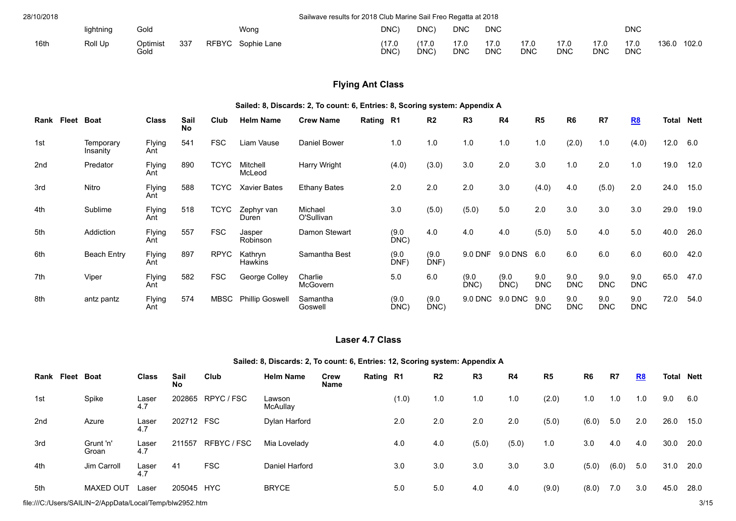| 28/10/2018 |           |                  |     |              |             | Sailwave results for 2018 Club Marine Sail Freo Regatta at 2018 |      |                    |                    |                    |                    |                    |                    |       |       |
|------------|-----------|------------------|-----|--------------|-------------|-----------------------------------------------------------------|------|--------------------|--------------------|--------------------|--------------------|--------------------|--------------------|-------|-------|
|            | lightning | Gold             |     |              | Wong        | DNC)                                                            | DNC) | DNC                | DNC                |                    |                    |                    | <b>DNC</b>         |       |       |
| 16th       | Roll Up   | Optimist<br>Gold | 337 | <b>RFBYC</b> | Sophie Lane | (17.0<br>DNC)                                                   | DNC) | 17.0<br><b>DNC</b> | 17.0<br><b>DNC</b> | 17.0<br><b>DNC</b> | 17.0<br><b>DNC</b> | 17.0<br><b>DNC</b> | 17.0<br><b>DNC</b> | 136.0 | 102.0 |

# **Flying Ant Class**

### **Sailed: 8, Discards: 2, To count: 6, Entries: 8, Scoring system: Appendix A**

| Fleet<br>Rank | <b>Boat</b>           | <b>Class</b>  | Sail<br><b>No</b> | Club        | <b>Helm Name</b>       | <b>Crew Name</b>      | Rating R1 |               | R <sub>2</sub> | R <sub>3</sub> | R4            | R <sub>5</sub>    | R <sub>6</sub>    | R7                | <b>R8</b>         | <b>Total Nett</b> |      |
|---------------|-----------------------|---------------|-------------------|-------------|------------------------|-----------------------|-----------|---------------|----------------|----------------|---------------|-------------------|-------------------|-------------------|-------------------|-------------------|------|
| 1st           | Temporary<br>Insanity | Flying<br>Ant | 541               | <b>FSC</b>  | Liam Vause             | Daniel Bower          |           | 1.0           | 1.0            | 1.0            | 1.0           | 1.0               | (2.0)             | 1.0               | (4.0)             | 12.0              | 6.0  |
| 2nd           | Predator              | Flying<br>Ant | 890               | <b>TCYC</b> | Mitchell<br>McLeod     | Harry Wright          |           | (4.0)         | (3.0)          | 3.0            | 2.0           | 3.0               | 1.0               | 2.0               | 1.0               | 19.0              | 12.0 |
| 3rd           | Nitro                 | Flying<br>Ant | 588               | TCYC        | <b>Xavier Bates</b>    | <b>Ethany Bates</b>   |           | 2.0           | 2.0            | 2.0            | 3.0           | (4.0)             | 4.0               | (5.0)             | 2.0               | 24.0              | 15.0 |
| 4th           | Sublime               | Flying<br>Ant | 518               | <b>TCYC</b> | Zephyr van<br>Duren    | Michael<br>O'Sullivan |           | 3.0           | (5.0)          | (5.0)          | 5.0           | 2.0               | 3.0               | 3.0               | 3.0               | 29.0              | 19.0 |
| 5th           | Addiction             | Flying<br>Ant | 557               | <b>FSC</b>  | Jasper<br>Robinson     | Damon Stewart         |           | (9.0)<br>DNC  | 4.0            | 4.0            | 4.0           | (5.0)             | 5.0               | 4.0               | 5.0               | 40.0              | 26.0 |
| 6th           | <b>Beach Entry</b>    | Flying<br>Ant | 897               | <b>RPYC</b> | Kathryn<br>Hawkins     | Samantha Best         |           | (9.0)<br>DNF) | (9.0)<br>DNF)  | 9.0 DNF        | 9.0 DNS       | 6.0               | 6.0               | 6.0               | 6.0               | 60.0              | 42.0 |
| 7th           | Viper                 | Flying<br>Ant | 582               | <b>FSC</b>  | George Colley          | Charlie<br>McGovern   |           | 5.0           | 6.0            | (9.0)<br>DNC   | (9.0)<br>DNC) | 9.0<br><b>DNC</b> | 9.0<br><b>DNC</b> | 9.0<br><b>DNC</b> | 9.0<br><b>DNC</b> | 65.0              | 47.0 |
| 8th           | antz pantz            | Flying<br>Ant | 574               | <b>MBSC</b> | <b>Phillip Goswell</b> | Samantha<br>Goswell   |           | (9.0)<br>DNC) | (9.0)<br>DNC)  | 9.0 DNC        | 9.0 DNC       | 9.0<br><b>DNC</b> | 9.0<br><b>DNC</b> | 9.0<br><b>DNC</b> | 9.0<br><b>DNC</b> | 72.0              | 54.0 |

# **Laser 4.7 Class**

### **Sailed: 8, Discards: 2, To count: 6, Entries: 12, Scoring system: Appendix A**

| Fleet<br>Rank   | Boat               | <b>Class</b> | Sail<br><b>No</b> | Club       | <b>Helm Name</b>   | Crew<br><b>Name</b> | Rating R1 |       | R <sub>2</sub> | R <sub>3</sub> | R4    | R <sub>5</sub> | R <sub>6</sub> | R7    | <b>R8</b> | <b>Total Nett</b> |      |
|-----------------|--------------------|--------------|-------------------|------------|--------------------|---------------------|-----------|-------|----------------|----------------|-------|----------------|----------------|-------|-----------|-------------------|------|
| 1st             | Spike              | Laser<br>4.7 | 202865            | RPYC/FSC   | Lawson<br>McAullay |                     |           | (1.0) | 1.0            | 1.0            | 1.0   | (2.0)          | 1.0            | 1.0   | 1.0       | 9.0               | 6.0  |
| 2 <sub>nd</sub> | Azure              | Laser<br>4.7 | 202712            | <b>FSC</b> | Dylan Harford      |                     |           | 2.0   | 2.0            | 2.0            | 2.0   | (5.0)          | (6.0)          | 5.0   | 2.0       | 26.0              | 15.0 |
| 3rd             | Grunt 'n'<br>Groan | Laser<br>4.7 | 211557            | RFBYC/FSC  | Mia Lovelady       |                     |           | 4.0   | 4.0            | (5.0)          | (5.0) | 1.0            | 3.0            | 4.0   | 4.0       | 30.0              | 20.0 |
| 4th             | Jim Carroll        | Laser<br>4.7 | 41                | <b>FSC</b> | Daniel Harford     |                     |           | 3.0   | 3.0            | 3.0            | 3.0   | 3.0            | (5.0)          | (6.0) | 5.0       | 31.0              | 20.0 |
| 5th             | MAXED OUT          | Laser        | 205045            | <b>HYC</b> | <b>BRYCE</b>       |                     |           | 5.0   | 5.0            | 4.0            | 4.0   | (9.0)          | (8.0)          | 7.0   | 3.0       | 45.0              | 28.0 |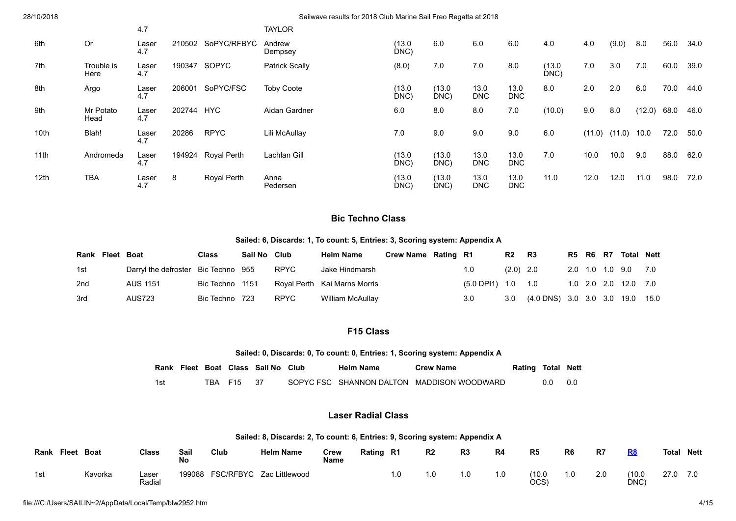| 28/10/2018 |                    |              |        |             | Sailwave results for 2018 Club Marine Sail Freo Regatta at 2018 |               |               |                    |                    |                |        |        |        |      |      |
|------------|--------------------|--------------|--------|-------------|-----------------------------------------------------------------|---------------|---------------|--------------------|--------------------|----------------|--------|--------|--------|------|------|
|            |                    | 4.7          |        |             | <b>TAYLOR</b>                                                   |               |               |                    |                    |                |        |        |        |      |      |
| 6th        | <b>Or</b>          | Laser<br>4.7 | 210502 | SoPYC/RFBYC | Andrew<br>Dempsey                                               | (13.0<br>DNC) | 6.0           | 6.0                | 6.0                | 4.0            | 4.0    | (9.0)  | 8.0    | 56.0 | 34.0 |
| 7th        | Trouble is<br>Here | Laser<br>4.7 | 190347 | SOPYC       | <b>Patrick Scally</b>                                           | (8.0)         | 7.0           | 7.0                | 8.0                | (13.0)<br>DNC) | 7.0    | 3.0    | 7.0    | 60.0 | 39.0 |
| 8th        | Argo               | Laser<br>4.7 | 206001 | SoPYC/FSC   | <b>Toby Coote</b>                                               | (13.0<br>DNC) | (13.0<br>DNC) | 13.0<br><b>DNC</b> | 13.0<br><b>DNC</b> | 8.0            | 2.0    | 2.0    | 6.0    | 70.0 | 44.0 |
| 9th        | Mr Potato<br>Head  | Laser<br>4.7 | 202744 | <b>HYC</b>  | Aidan Gardner                                                   | 6.0           | 8.0           | 8.0                | 7.0                | (10.0)         | 9.0    | 8.0    | (12.0) | 68.0 | 46.0 |
| 10th       | Blah!              | Laser<br>4.7 | 20286  | <b>RPYC</b> | Lili McAullay                                                   | 7.0           | 9.0           | 9.0                | 9.0                | 6.0            | (11.0) | (11.0) | 10.0   | 72.0 | 50.0 |

## **Bic Techno Class**

 $(M3.0)$ 

(13.0 DNC) (13.0 DNC)

(13.0 DNC)

13.0 D<sub>NC</sub>

13.0 DNC 13.0 DNC

13.0 DNC

#### **Sailed: 6, Discards: 1, To count: 5, Entries: 3, Scoring system: Appendix A**

| Rank Fleet Boat |                                     | <b>Class</b>    | Sail No Club |             | <b>Helm Name</b>             | Crew Name Rating R1 |                              | R2          | <b>R3</b>                  |  | R5 R6 R7 | Total Nett           |      |
|-----------------|-------------------------------------|-----------------|--------------|-------------|------------------------------|---------------------|------------------------------|-------------|----------------------------|--|----------|----------------------|------|
| 1st             | Darryl the defroster Bic Techno 955 |                 |              | <b>RPYC</b> | Jake Hindmarsh               |                     | 1.0                          | $(2.0)$ 2.0 |                            |  |          | 2.0 1.0 1.0 9.0 7.0  |      |
| 2nd             | <b>AUS 1151</b>                     | Bic Techno 1151 |              |             | Royal Perth Kai Marns Morris |                     | $(5.0 \text{ DP}11)$ 1.0 1.0 |             |                            |  |          | 1.0 2.0 2.0 12.0 7.0 |      |
| 3rd             | AUS723                              | Bic Techno 723  |              | <b>RPYC</b> | William McAullay             |                     | 3.0                          | 3.0         | (4.0 DNS) 3.0 3.0 3.0 19.0 |  |          |                      | 15.0 |

# **F15 Class**

#### **Sailed: 0, Discards: 0, To count: 0, Entries: 1, Scoring system: Appendix A**

|     |  |            | Rank Fleet Boat Class Sail No Club | <b>Helm Name</b> | <b>Crew Name</b>                           | <b>Rating Total Nett</b> |     |       |
|-----|--|------------|------------------------------------|------------------|--------------------------------------------|--------------------------|-----|-------|
| 1st |  | TBA F15 37 |                                    |                  | SOPYC FSC SHANNON DALTON MADDISON WOODWARD |                          | 0.0 | - 0.0 |

# **Laser Radial Class**

#### **Sailed: 8, Discards: 2, To count: 6, Entries: 9, Scoring system: Appendix A**

| Rank | Fleet<br>Boat | Class           | Sail<br>No | Club             | <b>Helm Name</b> | Crew<br><b>Name</b> | Rating | R1  | R <sub>2</sub> | R <sub>3</sub> | R4  | R5             | R6  | R7  | R <sub>8</sub> | Total | <b>Nett</b> |
|------|---------------|-----------------|------------|------------------|------------------|---------------------|--------|-----|----------------|----------------|-----|----------------|-----|-----|----------------|-------|-------------|
| 1st  | Kavorka       | ∟aser<br>Radial | 199088     | <b>FSC/RFBYC</b> | Zac Littlewood   |                     |        | 1.0 | 1.0            | 0. ا           | 1.0 | (10.0)<br>OCS) | 1.0 | 2.0 | (10.0)<br>DNC) | 27.0  |             |

11th Andromeda Laser

12th TBA Laser

4.7

4.7

194924 Royal Perth Lachlan Gill

Pedersen

8 Royal Perth Anna

7.0 10.0 10.0 9.0 88.0 62.0

11.0 12.0 12.0 11.0 98.0 72.0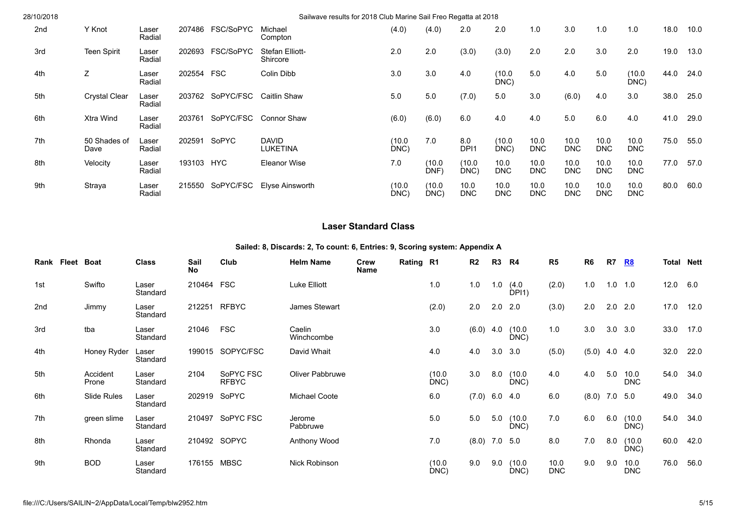| 28/10/2018 |                      |                 |        |            | Sailwave results for 2018 Club Marine Sail Freo Regatta at 2018 |                |                |                         |                    |                    |                    |                    |                    |      |      |
|------------|----------------------|-----------------|--------|------------|-----------------------------------------------------------------|----------------|----------------|-------------------------|--------------------|--------------------|--------------------|--------------------|--------------------|------|------|
| 2nd        | Y Knot               | Laser<br>Radial | 207486 | FSC/SoPYC  | Michael<br>Compton                                              | (4.0)          | (4.0)          | 2.0                     | 2.0                | 1.0                | 3.0                | 1.0                | 1.0                | 18.0 | 10.0 |
| 3rd        | <b>Teen Spirit</b>   | Laser<br>Radial | 202693 | FSC/SoPYC  | Stefan Elliott-<br>Shircore                                     | 2.0            | 2.0            | (3.0)                   | (3.0)              | 2.0                | 2.0                | 3.0                | 2.0                | 19.0 | 13.0 |
| 4th        | Ζ                    | Laser<br>Radial | 202554 | <b>FSC</b> | Colin Dibb                                                      | 3.0            | 3.0            | 4.0                     | (10.0)<br>DNC)     | 5.0                | 4.0                | 5.0                | (10.0<br>DNC)      | 44.0 | 24.0 |
| 5th        | <b>Crystal Clear</b> | Laser<br>Radial | 203762 | SoPYC/FSC  | Caitlin Shaw                                                    | 5.0            | 5.0            | (7.0)                   | 5.0                | 3.0                | (6.0)              | 4.0                | 3.0                | 38.0 | 25.0 |
| 6th        | Xtra Wind            | Laser<br>Radial | 203761 | SoPYC/FSC  | Connor Shaw                                                     | (6.0)          | (6.0)          | 6.0                     | 4.0                | 4.0                | 5.0                | 6.0                | 4.0                | 41.0 | 29.0 |
| 7th        | 50 Shades of<br>Dave | Laser<br>Radial | 202591 | SoPYC      | <b>DAVID</b><br><b>LUKETINA</b>                                 | (10.0)<br>DNC) | 7.0            | 8.0<br>DPI <sub>1</sub> | (10.0)<br>DNC)     | 10.0<br><b>DNC</b> | 10.0<br><b>DNC</b> | 10.0<br><b>DNC</b> | 10.0<br><b>DNC</b> | 75.0 | 55.0 |
| 8th        | Velocity             | Laser<br>Radial | 193103 | <b>HYC</b> | <b>Eleanor Wise</b>                                             | 7.0            | (10.0<br>DNF)  | (10.0)<br>DNC)          | 10.0<br><b>DNC</b> | 10.0<br><b>DNC</b> | 10.0<br><b>DNC</b> | 10.0<br><b>DNC</b> | 10.0<br><b>DNC</b> | 77.0 | 57.0 |
| 9th        | Straya               | Laser<br>Radial | 215550 | SoPYC/FSC  | Elyse Ainsworth                                                 | (10.0)<br>DNC) | (10.0)<br>DNC) | 10.0<br><b>DNC</b>      | 10.0<br><b>DNC</b> | 10.0<br><b>DNC</b> | 10.0<br>DNC        | 10.0<br><b>DNC</b> | 10.0<br><b>DNC</b> | 80.0 | 60.0 |

# **Laser Standard Class**

|  |  | Sailed: 8, Discards: 2, To count: 6, Entries: 9, Scoring system: Appendix A |  |
|--|--|-----------------------------------------------------------------------------|--|
|  |  |                                                                             |  |

|     | Rank Fleet | <b>Boat</b>       | <b>Class</b>      | Sail<br><b>No</b> | Club                      | <b>Helm Name</b>     | <b>Crew</b><br>Name | Rating R1 |                | R2    | R3             | R4                      | R <sub>5</sub>     | R <sub>6</sub> | R7          | <u>R8</u>          | <b>Total Nett</b> |      |
|-----|------------|-------------------|-------------------|-------------------|---------------------------|----------------------|---------------------|-----------|----------------|-------|----------------|-------------------------|--------------------|----------------|-------------|--------------------|-------------------|------|
| 1st |            | Swifto            | Laser<br>Standard | 210464            | <b>FSC</b>                | Luke Elliott         |                     |           | 1.0            | 1.0   | 1.0            | (4.0)<br>$\dot{D}$ PI1) | (2.0)              | 1.0            | 1.0         | 1.0                | 12.0              | 6.0  |
| 2nd |            | Jimmy             | Laser<br>Standard | 212251            | <b>RFBYC</b>              | James Stewart        |                     |           | (2.0)          | 2.0   | 2.0            | 2.0                     | (3.0)              | 2.0            | 2.0         | 2.0                | 17.0              | 12.0 |
| 3rd |            | tba               | Laser<br>Standard | 21046             | <b>FSC</b>                | Caelin<br>Winchcombe |                     |           | 3.0            | (6.0) | 4.0            | (10.0)<br>DNC)          | 1.0                | 3.0            | 3.0         | 3.0                | 33.0              | 17.0 |
| 4th |            | Honey Ryder       | Laser<br>Standard | 199015            | SOPYC/FSC                 | David Whait          |                     |           | 4.0            | 4.0   | 3.0            | 3.0                     | (5.0)              | (5.0)          | $4.0$ $4.0$ |                    | 32.0              | 22.0 |
| 5th |            | Accident<br>Prone | Laser<br>Standard | 2104              | SoPYC FSC<br><b>RFBYC</b> | Oliver Pabbruwe      |                     |           | (10.0)<br>DNC) | 3.0   | 8.0            | (10.0)<br>DNC)          | 4.0                | 4.0            | 5.0         | 10.0<br><b>DNC</b> | 54.0              | 34.0 |
| 6th |            | Slide Rules       | Laser<br>Standard |                   | 202919 SoPYC              | Michael Coote        |                     |           | 6.0            | (7.0) | 6.0 4.0        |                         | 6.0                | (8.0)          | 7.0         | 5.0                | 49.0              | 34.0 |
| 7th |            | green slime       | Laser<br>Standard | 210497            | SoPYC FSC                 | Jerome<br>Pabbruwe   |                     |           | 5.0            | 5.0   | 5.0            | (10.0)<br>DNC)          | 7.0                | 6.0            | 6.0         | (10.0)<br>DNC)     | 54.0              | 34.0 |
| 8th |            | Rhonda            | Laser<br>Standard |                   | 210492 SOPYC              | Anthony Wood         |                     |           | 7.0            | (8.0) | $7.0\quad 5.0$ |                         | 8.0                | 7.0            | 8.0         | (10.0)<br>DNC)     | 60.0              | 42.0 |
| 9th |            | <b>BOD</b>        | Laser<br>Standard | 176155 MBSC       |                           | Nick Robinson        |                     |           | (10.0)<br>DNC) | 9.0   | 9.0            | (10.0)<br>DNC)          | 10.0<br><b>DNC</b> | 9.0            | 9.0         | 10.0<br><b>DNC</b> | 76.0              | 56.0 |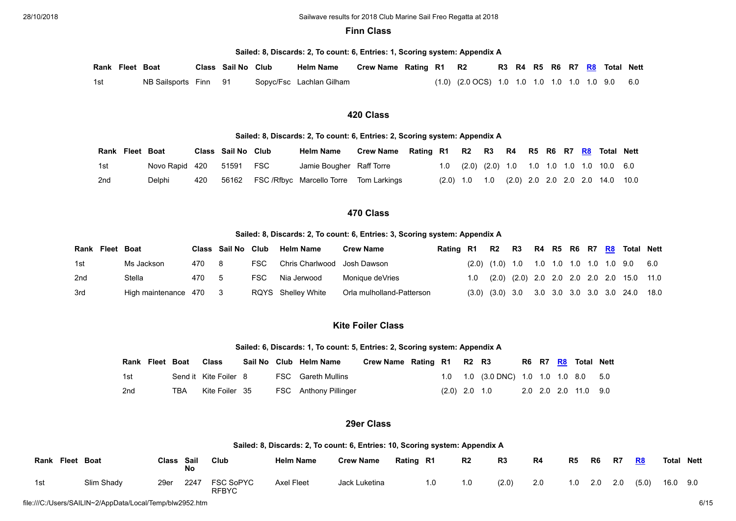### **Finn Class**

**Sailed: 8, Discards: 2, To count: 6, Entries: 1, Scoring system: Appendix A**

|     | Rank Fleet Boat |                       | Class Sail No Club | <b>Helm Name</b>         | Crew Name Rating R1 R2 |  |                                                               |  |  |  | R3 R4 R5 R6 R7 R8 Total Nett |  |
|-----|-----------------|-----------------------|--------------------|--------------------------|------------------------|--|---------------------------------------------------------------|--|--|--|------------------------------|--|
| 1st |                 | NB Sailsports Finn 91 |                    | Sopyc/Fsc Lachlan Gilham |                        |  | $(1.0)$ $(2.0 \, \text{OCS})$ 1.0 1.0 1.0 1.0 1.0 1.0 9.0 6.0 |  |  |  |                              |  |

### **420 Class**

### **Sailed: 8, Discards: 2, To count: 6, Entries: 2, Scoring system: Appendix A**

| Rank Fleet Boat |                |     | Class Sail No Club |            | <b>Helm Name</b>                            | <b>Crew Name</b> | Rating R1 R2 R3 R4 R5 R6 R7 R8 Total Nett |                 |  |  |  |                                              |  |
|-----------------|----------------|-----|--------------------|------------|---------------------------------------------|------------------|-------------------------------------------|-----------------|--|--|--|----------------------------------------------|--|
| 1st             | Novo Rapid 420 |     | 51591              | <b>FSC</b> | Jamie Bougher Raff Torre                    |                  |                                           |                 |  |  |  | 1.0 (2.0) (2.0) 1.0 1.0 1.0 1.0 1.0 10.0 6.0 |  |
| 2nd             | Delphi         | 420 |                    |            | 56162 FSC/Rfbyc Marcello Torre Tom Larkings |                  |                                           | $(2.0)$ 1.0 1.0 |  |  |  | (2.0) 2.0 2.0 2.0 2.0 14.0 10.0              |  |

# **470 Class**

#### **Sailed: 8, Discards: 2, To count: 6, Entries: 3, Scoring system: Appendix A**

| Rank Fleet Boat |                        |       | Class Sail No Club |      | <b>Helm Name</b>            | <b>Crew Name</b>          | Rating R1 | R2 R3 |  |  |  | R4 R5 R6 R7 R8 Total Nett                                               |  |
|-----------------|------------------------|-------|--------------------|------|-----------------------------|---------------------------|-----------|-------|--|--|--|-------------------------------------------------------------------------|--|
| 1st             | Ms Jackson             | 470   | - 8                | FSC. | Chris Charlwood Josh Dawson |                           |           |       |  |  |  | $(2.0)$ $(1.0)$ 1.0 1.0 1.0 1.0 1.0 1.0 9.0 6.0                         |  |
| 2nd             | Stella                 | 470 5 |                    | FSC. | Nia Jerwood                 | Monique deVries           |           |       |  |  |  | 1.0 (2.0) (2.0) 2.0 2.0 2.0 2.0 2.0 15.0 11.0                           |  |
| 3rd             | High maintenance 470 3 |       |                    |      | RQYS Shelley White          | Orla mulholland-Patterson |           |       |  |  |  | $(3.0)$ $(3.0)$ $3.0$ $3.0$ $3.0$ $3.0$ $3.0$ $3.0$ $3.0$ $24.0$ $18.0$ |  |

### **Kite Foiler Class**

#### **Sailed: 6, Discards: 1, To count: 5, Entries: 2, Scoring system: Appendix A**

| Rank Fleet Boat |     | Class                 |  | Sail No Club Helm Name    | Crew Name Rating R1 R2 R3 |                 |                                       |  | R6 R7 R8 Total Nett  |  |
|-----------------|-----|-----------------------|--|---------------------------|---------------------------|-----------------|---------------------------------------|--|----------------------|--|
| 1st             |     | Send it Kite Foiler 8 |  | <b>FSC</b> Gareth Mullins |                           |                 | 1.0 1.0 (3.0 DNC) 1.0 1.0 1.0 8.0 5.0 |  |                      |  |
| 2 <sub>nd</sub> | TBA | Kite Foiler 35        |  | FSC Anthony Pillinger     |                           | $(2.0)$ 2.0 1.0 |                                       |  | 2.0 2.0 2.0 11.0 9.0 |  |

### **29er Class**

#### **Sailed: 8, Discards: 2, To count: 6, Entries: 10, Scoring system: Appendix A**

| <b>Fleet</b><br>Rank | Boat       | Class Sail | No   | Club                             | <b>Helm Name</b>  | <b>Crew Name</b> | Rating R1 |     | R <sub>2</sub> | R <sub>3</sub> | R4  | R <sub>5</sub> | R6  | R7  | R8    | Total | Nett |
|----------------------|------------|------------|------|----------------------------------|-------------------|------------------|-----------|-----|----------------|----------------|-----|----------------|-----|-----|-------|-------|------|
| 1st                  | Slim Shady | 29er       | 2247 | <b>FSC SoPYC</b><br><b>RFBYC</b> | <b>Axel Fleet</b> | Jack Luketina    |           | 1.0 | 1.0            | (2.0)          | 2.0 | 1.0            | 2.0 | 2.0 | (5.0) | 16.0  | 9.0  |

file:///C:/Users/SAILIN~2/AppData/Local/Temp/blw2952.htm 6/15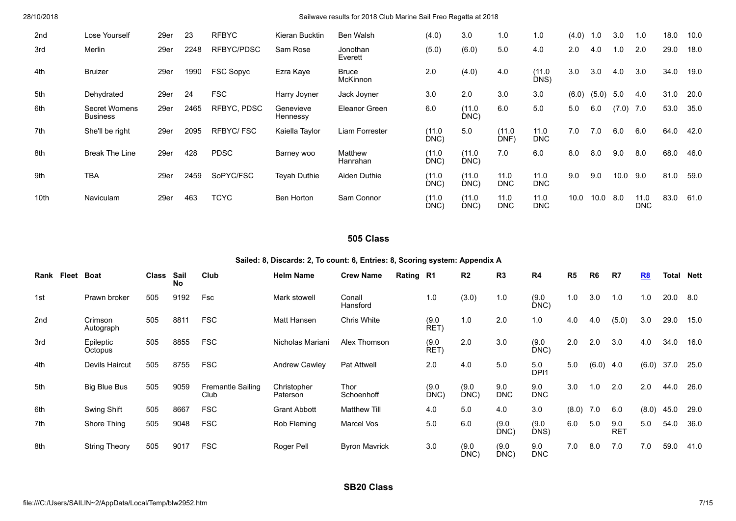| 2nd              | Lose Yourself                    | 29er | 23   | <b>RFBYC</b>     | Kieran Bucktin        | Ben Walsh                       | (4.0)          | 3.0            | 1.0                | 1.0                | (4.0) | 1.0   | 3.0   | 1.0                | 18.0 | 10.0 |
|------------------|----------------------------------|------|------|------------------|-----------------------|---------------------------------|----------------|----------------|--------------------|--------------------|-------|-------|-------|--------------------|------|------|
| 3rd              | Merlin                           | 29er | 2248 | RFBYC/PDSC       | Sam Rose              | Jonothan<br>Everett             | (5.0)          | (6.0)          | 5.0                | 4.0                | 2.0   | 4.0   | 1.0   | 2.0                | 29.0 | 18.0 |
| 4th              | <b>Bruizer</b>                   | 29er | 1990 | <b>FSC Sopyc</b> | Ezra Kaye             | <b>Bruce</b><br><b>McKinnon</b> | 2.0            | (4.0)          | 4.0                | (11.0<br>DNS)      | 3.0   | 3.0   | 4.0   | 3.0                | 34.0 | 19.0 |
| 5th              | Dehydrated                       | 29er | 24   | <b>FSC</b>       | Harry Joyner          | Jack Joyner                     | 3.0            | 2.0            | 3.0                | 3.0                | (6.0) | (5.0) | 5.0   | 4.0                | 31.0 | 20.0 |
| 6th              | Secret Womens<br><b>Business</b> | 29er | 2465 | RFBYC, PDSC      | Genevieve<br>Hennessy | Eleanor Green                   | 6.0            | (11.0)<br>DNC) | 6.0                | 5.0                | 5.0   | 6.0   | (7.0) | 7.0                | 53.0 | 35.0 |
| 7th              | She'll be right                  | 29er | 2095 | RFBYC/FSC        | Kaiella Taylor        | Liam Forrester                  | (11.0)<br>DNC) | 5.0            | (11.0)<br>DNF)     | 11.0<br><b>DNC</b> | 7.0   | 7.0   | 6.0   | 6.0                | 64.0 | 42.0 |
| 8th              | <b>Break The Line</b>            | 29er | 428  | <b>PDSC</b>      | Barney woo            | Matthew<br>Hanrahan             | (11.0<br>DNC)  | (11.0)<br>DNC) | 7.0                | 6.0                | 8.0   | 8.0   | 9.0   | 8.0                | 68.0 | 46.0 |
| 9th              | <b>TBA</b>                       | 29er | 2459 | SoPYC/FSC        | Teyah Duthie          | Aiden Duthie                    | (11.0)<br>DNC) | (11.0)<br>DNC) | 11.0<br><b>DNC</b> | 11.0<br><b>DNC</b> | 9.0   | 9.0   | 10.0  | 9.0                | 81.0 | 59.0 |
| 10 <sub>th</sub> | <b>Naviculam</b>                 | 29er | 463  | <b>TCYC</b>      | Ben Horton            | Sam Connor                      | (11.0)<br>DNC) | (11.0)<br>DNC) | 11.0<br><b>DNC</b> | 11.0<br><b>DNC</b> | 10.0  | 10.0  | 8.0   | 11.0<br><b>DNC</b> | 83.0 | 61.0 |

# **505 Class**

### **Sailed: 8, Discards: 2, To count: 6, Entries: 8, Scoring system: Appendix A**

| Rank Fleet | <b>Boat</b>          | Class Sail | <b>No</b> | Club                             | <b>Helm Name</b>        | <b>Crew Name</b>     | Rating R1 |               | R <sub>2</sub> | R3                | R <sub>4</sub>          | R <sub>5</sub> | R6    | R7                | R8    | Total | Nett |
|------------|----------------------|------------|-----------|----------------------------------|-------------------------|----------------------|-----------|---------------|----------------|-------------------|-------------------------|----------------|-------|-------------------|-------|-------|------|
| 1st        | Prawn broker         | 505        | 9192      | Fsc                              | Mark stowell            | Conall<br>Hansford   |           | 1.0           | (3.0)          | 1.0               | (9.0)<br>DNC)           | 1.0            | 3.0   | 1.0               | 1.0   | 20.0  | 8.0  |
| 2nd        | Crimson<br>Autograph | 505        | 8811      | <b>FSC</b>                       | Matt Hansen             | Chris White          |           | (9.0)<br>RET) | 1.0            | 2.0               | 1.0                     | 4.0            | 4.0   | (5.0)             | 3.0   | 29.0  | 15.0 |
| 3rd        | Epileptic<br>Octopus | 505        | 8855      | <b>FSC</b>                       | Nicholas Mariani        | Alex Thomson         |           | (9.0)<br>RET) | 2.0            | 3.0               | (9.0)<br>DNC)           | 2.0            | 2.0   | 3.0               | 4.0   | 34.0  | 16.0 |
| 4th        | Devils Haircut       | 505        | 8755      | <b>FSC</b>                       | <b>Andrew Cawley</b>    | <b>Pat Attwell</b>   |           | 2.0           | 4.0            | 5.0               | 5.0<br>DPI <sub>1</sub> | 5.0            | (6.0) | 4.0               | (6.0) | 37.0  | 25.0 |
| 5th        | Big Blue Bus         | 505        | 9059      | <b>Fremantle Sailing</b><br>Club | Christopher<br>Paterson | Thor<br>Schoenhoff   |           | (9.0)<br>DNC) | (9.0)<br>DNC)  | 9.0<br><b>DNC</b> | 9.0<br><b>DNC</b>       | 3.0            | 1.0   | 2.0               | 2.0   | 44.0  | 26.0 |
| 6th        | Swing Shift          | 505        | 8667      | <b>FSC</b>                       | <b>Grant Abbott</b>     | <b>Matthew Till</b>  |           | 4.0           | 5.0            | 4.0               | 3.0                     | (8.0)          | 7.0   | 6.0               | (8.0) | 45.0  | 29.0 |
| 7th        | Shore Thing          | 505        | 9048      | <b>FSC</b>                       | Rob Fleming             | Marcel Vos           |           | 5.0           | 6.0            | (9.0)<br>$DNC$ )  | (9.0)<br>DNS)           | 6.0            | 5.0   | 9.0<br><b>RET</b> | 5.0   | 54.0  | 36.0 |
| 8th        | <b>String Theory</b> | 505        | 9017      | <b>FSC</b>                       | Roger Pell              | <b>Byron Mavrick</b> |           | 3.0           | (9.0)<br>DNC)  | (9.0)<br>DNC)     | 9.0<br><b>DNC</b>       | 7.0            | 8.0   | 7.0               | 7.0   | 59.0  | 41.0 |

**SB20 Class**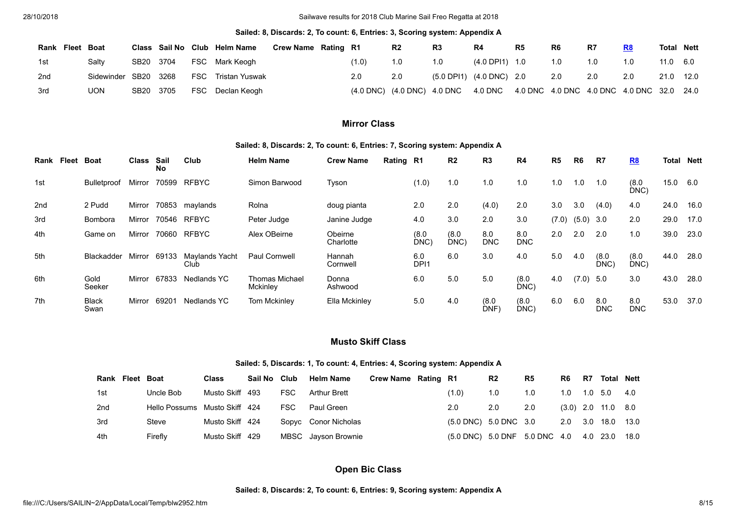#### **Sailed: 8, Discards: 2, To count: 6, Entries: 3, Scoring system: Appendix A**

| Rank            | Fleet Boat |                      |           |            | Class Sail No Club Helm Name | <b>Crew Name Rating R1</b> |       | R <sub>2</sub> | R3                                                                            | R4                                           | R <sub>5</sub> | R <sub>6</sub> | R7  | R8  | <b>Total Nett</b> |      |
|-----------------|------------|----------------------|-----------|------------|------------------------------|----------------------------|-------|----------------|-------------------------------------------------------------------------------|----------------------------------------------|----------------|----------------|-----|-----|-------------------|------|
| 1st             |            | Saltv                | SB20 3704 |            | FSC Mark Keogh               |                            | (1.0) |                | 1.0                                                                           | (4.0 DPI1) 1.0                               |                | 1.0            | 1.0 | 1.0 | $11.0\quad 6.0$   |      |
| 2 <sub>nd</sub> |            | Sidewinder SB20 3268 |           | <b>FSC</b> | Tristan Yuswak               |                            | 2.0   | 2.0            |                                                                               | $(5.0 \text{ DPI1})$ $(4.0 \text{ DNC})$ 2.0 |                | 2.0            | 2.0 | 2.0 | 21.0              | 12.0 |
| 3rd             |            | <b>UON</b>           | SB20 3705 |            | FSC Declan Keogh             |                            |       |                | (4.0 DNC) (4.0 DNC) 4.0 DNC 4.0 DNC 4.0 DNC 4.0 DNC 4.0 DNC 4.0 DNC 32.0 24.0 |                                              |                |                |     |     |                   |      |

# **Mirror Class**

#### **Sailed: 8, Discards: 2, To count: 6, Entries: 7, Scoring system: Appendix A**

| Fleet<br>Rank | <b>Boat</b>          | <b>Class</b> | Sail<br>No | Club                          | <b>Helm Name</b>                         | <b>Crew Name</b>     | Rating R1 |                         | R <sub>2</sub> | R <sub>3</sub>      | R4                | R <sub>5</sub> | R <sub>6</sub> | R7                | R8                | Total | Nett |
|---------------|----------------------|--------------|------------|-------------------------------|------------------------------------------|----------------------|-----------|-------------------------|----------------|---------------------|-------------------|----------------|----------------|-------------------|-------------------|-------|------|
| 1st           | Bulletproof          | Mirror       | 70599      | <b>RFBYC</b>                  | Simon Barwood                            | Tyson                |           | (1.0)                   | 1.0            | 1.0                 | 1.0               | 1.0            | 1.0            | 1.0               | (8.0)<br>DNC)     | 15.0  | 6.0  |
| 2nd           | 2 Pudd               | Mirror       | 70853      | maylands                      | Rolna                                    | doug pianta          |           | 2.0                     | 2.0            | (4.0)               | 2.0               | 3.0            | 3.0            | (4.0)             | 4.0               | 24.0  | 16.0 |
| 3rd           | Bombora              | Mirror       | 70546      | <b>RFBYC</b>                  | Peter Judge                              | Janine Judge         |           | 4.0                     | 3.0            | 2.0                 | 3.0               | (7.0)          | $(5.0)$ 3.0    |                   | 2.0               | 29.0  | 17.0 |
| 4th           | Game on              | Mirror       | 70660      | <b>RFBYC</b>                  | Alex OBeirne                             | Obeirne<br>Charlotte |           | (8.0)<br>DNC)           | (8.0)<br>DNC)  | 8.0<br><b>DNC</b>   | 8.0<br><b>DNC</b> | 2.0            | 2.0            | 2.0               | 1.0               | 39.0  | 23.0 |
| 5th           | Blackadder           | Mirror       | 69133      | <b>Mavlands Yacht</b><br>Club | Paul Cornwell                            | Hannah<br>Cornwell   |           | 6.0<br>DP <sub>11</sub> | 6.0            | 3.0                 | 4.0               | 5.0            | 4.0            | (8.0)<br>DNC      | (8.0)<br>DNC)     | 44.0  | 28.0 |
| 6th           | Gold<br>Seeker       | Mirror       | 67833      | Nedlands YC                   | <b>Thomas Michael</b><br><b>Mckinlev</b> | Donna<br>Ashwood     |           | 6.0                     | 5.0            | 5.0                 | (8.0)<br>DNC      | 4.0            | (7.0)          | -5.0              | 3.0               | 43.0  | 28.0 |
| 7th           | <b>Black</b><br>Swan | Mirror       | 69201      | Nedlands YC                   | <b>Tom Mckinley</b>                      | Ella Mckinley        |           | 5.0                     | 4.0            | (8.0)<br><b>DNF</b> | (8.0)<br>DNC)     | 6.0            | 6.0            | 8.0<br><b>DNC</b> | 8.0<br><b>DNC</b> | 53.0  | 37.0 |

### **Musto Skiff Class**

### **Sailed: 5, Discards: 1, To count: 4, Entries: 4, Scoring system: Appendix A**

|     | Rank Fleet Boat |                               | <b>Class</b>    | Sail No Club |      | <b>Helm Name</b>     | Crew Name Rating R1 |                                             | R <sub>2</sub> | R <sub>5</sub> | R <sub>6</sub> | R7 | <b>Total Nett</b>    |     |
|-----|-----------------|-------------------------------|-----------------|--------------|------|----------------------|---------------------|---------------------------------------------|----------------|----------------|----------------|----|----------------------|-----|
| 1st |                 | Uncle Bob                     | Musto Skiff     | -493         | FSC. | Arthur Brett         |                     | (1.0)                                       | 1.0            | 1.0            |                |    |                      | 4.0 |
| 2nd |                 | Hello Possums Musto Skiff 424 |                 |              | FSC. | Paul Green           |                     | 2.0                                         | 2.0            | 2.0            |                |    | $(3.0)$ 2.0 11.0 8.0 |     |
| 3rd |                 | Steve                         | Musto Skiff 424 |              |      | Sopyc Conor Nicholas |                     | (5.0 DNC) 5.0 DNC 3.0                       |                |                |                |    | 2.0 3.0 18.0 13.0    |     |
| 4th |                 | Firefly                       | Musto Skiff     | - 429        |      | MBSC Jayson Brownie  |                     | (5.0 DNC) 5.0 DNF 5.0 DNC 4.0 4.0 23.0 18.0 |                |                |                |    |                      |     |

# **Open Bic Class**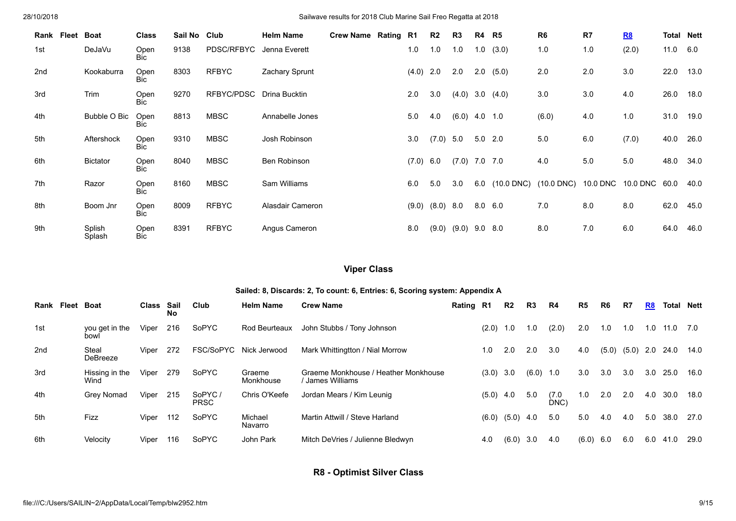| Rank Fleet | Boat             | <b>Class</b>       | Sail No Club |              | <b>Helm Name</b> | Crew Name Rating R1 |       | R2          | R <sub>3</sub>  | R4  | R5                        | R <sub>6</sub> | R7  | R8                     | <b>Total Nett</b> |      |
|------------|------------------|--------------------|--------------|--------------|------------------|---------------------|-------|-------------|-----------------|-----|---------------------------|----------------|-----|------------------------|-------------------|------|
| 1st        | DeJaVu           | Open<br><b>Bic</b> | 9138         | PDSC/RFBYC   | Jenna Everett    |                     | 1.0   | 1.0         | 1.0             | 1.0 | (3.0)                     | 1.0            | 1.0 | (2.0)                  | 11.0 6.0          |      |
| 2nd        | Kookaburra       | Open<br>Bic        | 8303         | <b>RFBYC</b> | Zachary Sprunt   |                     | (4.0) | 2.0         | 2.0             | 2.0 | (5.0)                     | 2.0            | 2.0 | 3.0                    | 22.0              | 13.0 |
| 3rd        | Trim             | Open<br><b>Bic</b> | 9270         | RFBYC/PDSC   | Drina Bucktin    |                     | 2.0   | 3.0         | (4.0)           |     | 3.0(4.0)                  | 3.0            | 3.0 | 4.0                    | 26.0              | 18.0 |
| 4th        | Bubble O Bic     | Open<br>Bic        | 8813         | <b>MBSC</b>  | Annabelle Jones  |                     | 5.0   | 4.0         | $(6.0)$ 4.0 1.0 |     |                           | (6.0)          | 4.0 | 1.0                    | 31.0              | 19.0 |
| 5th        | Aftershock       | Open<br><b>Bic</b> | 9310         | <b>MBSC</b>  | Josh Robinson    |                     | 3.0   | $(7.0)$ 5.0 |                 |     | $5.0$ 2.0                 | 5.0            | 6.0 | (7.0)                  | 40.0              | 26.0 |
| 6th        | <b>Bictator</b>  | Open<br><b>Bic</b> | 8040         | <b>MBSC</b>  | Ben Robinson     |                     | (7.0) | 6.0         | (7.0)           |     | 7.0 7.0                   | 4.0            | 5.0 | 5.0                    | 48.0              | 34.0 |
| 7th        | Razor            | Open<br><b>Bic</b> | 8160         | <b>MBSC</b>  | Sam Williams     |                     | 6.0   | 5.0         | 3.0             |     | 6.0 (10.0 DNC) (10.0 DNC) |                |     | 10.0 DNC 10.0 DNC 60.0 |                   | 40.0 |
| 8th        | Boom Jnr         | Open<br>Bic        | 8009         | <b>RFBYC</b> | Alasdair Cameron |                     | (9.0) | $(8.0)$ 8.0 |                 |     | $8.0\quad 6.0$            | 7.0            | 8.0 | 8.0                    | 62.0              | 45.0 |
| 9th        | Splish<br>Splash | Open<br>Bic        | 8391         | <b>RFBYC</b> | Angus Cameron    |                     | 8.0   | (9.0)       | (9.0)           |     | $9.0\quad 8.0$            | 8.0            | 7.0 | 6.0                    | 64.0              | 46.0 |

# **Viper Class**

### **Sailed: 8, Discards: 2, To count: 6, Entries: 6, Scoring system: Appendix A**

<span id="page-8-0"></span>

| Rank | Fleet | <b>Boat</b>              | Class | Sail<br><b>No</b> | Club                  | <b>Helm Name</b>    | <b>Crew Name</b>                                       | Rating R1 |       | R2    | R3    | R4            | R5    | R6    | R7    | R8  | Total | Nett |
|------|-------|--------------------------|-------|-------------------|-----------------------|---------------------|--------------------------------------------------------|-----------|-------|-------|-------|---------------|-------|-------|-------|-----|-------|------|
| 1st  |       | you get in the<br>bowl   | Viper | 216               | SoPYC                 | Rod Beurteaux       | John Stubbs / Tony Johnson                             |           | (2.0) | 0. ا  | 0. ا  | (2.0)         | 2.0   | 1.0   | 1.0   | 1.0 | 11.0  | 7.0  |
| 2nd  |       | Steal<br><b>DeBreeze</b> | Viper | 272               | FSC/SoPYC             | Nick Jerwood        | Mark Whittingtton / Nial Morrow                        |           | 1.0   | 2.0   | 2.0   | 3.0           | 4.0   | (5.0) | (5.0) | 2.0 | 24.0  | 14.0 |
| 3rd  |       | Hissing in the<br>Wind   | Viper | 279               | SoPYC                 | Graeme<br>Monkhouse | Graeme Monkhouse / Heather Monkhouse<br>James Williams |           | (3.0) | 3.0   | (6.0) | 1.0           | 3.0   | 3.0   | 3.0   | 3.0 | 25.0  | 16.0 |
| 4th  |       | Grey Nomad               | Viper | 215               | SoPYC/<br><b>PRSC</b> | Chris O'Keefe       | Jordan Mears / Kim Leunig                              |           | (5.0) | 4.0   | 5.0   | (7.0)<br>DNC) | 1.0   | 2.0   | 2.0   | 4.0 | 30.0  | 18.0 |
| 5th  |       | <b>Fizz</b>              | Viper | 112               | SoPYC                 | Michael<br>Navarro  | Martin Attwill / Steve Harland                         |           | (6.0) | (5.0) | 4.0   | 5.0           | 5.0   | 4.0   | 4.0   | 5.0 | 38.0  | 27.0 |
| 6th  |       | Velocity                 | Viper | 116               | SoPYC                 | John Park           | Mitch DeVries / Julienne Bledwyn                       |           | 4.0   | (6.0) | 3.0   | 4.0           | (6.0) | 6.0   | 6.0   | 6.0 | 41.0  | 29.0 |

**R8 - Optimist Silver Class**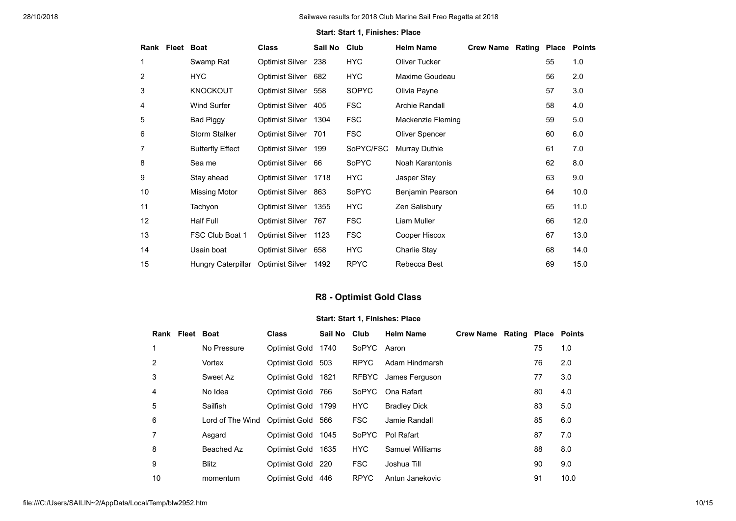### **Start: Start 1, Finishes: Place**

|                 | Rank Fleet Boat |                         | <b>Class</b>           | Sail No | Club         | <b>Helm Name</b>  | <b>Crew Name</b> | <b>Rating Place</b> |    | <b>Points</b> |
|-----------------|-----------------|-------------------------|------------------------|---------|--------------|-------------------|------------------|---------------------|----|---------------|
|                 |                 | Swamp Rat               | <b>Optimist Silver</b> | 238     | <b>HYC</b>   | Oliver Tucker     |                  |                     | 55 | 1.0           |
| 2               |                 | HYC.                    | Optimist Silver        | 682     | HYC          | Maxime Goudeau    |                  |                     | 56 | 2.0           |
| 3               |                 | <b>KNOCKOUT</b>         | Optimist Silver        | 558     | SOPYC        | Olivia Payne      |                  |                     | 57 | 3.0           |
| 4               |                 | <b>Wind Surfer</b>      | Optimist Silver        | 405     | <b>FSC</b>   | Archie Randall    |                  |                     | 58 | 4.0           |
| 5               |                 | <b>Bad Piggy</b>        | Optimist Silver        | 1304    | <b>FSC</b>   | Mackenzie Fleming |                  |                     | 59 | 5.0           |
| 6               |                 | Storm Stalker           | <b>Optimist Silver</b> | 701     | <b>FSC</b>   | Oliver Spencer    |                  |                     | 60 | 6.0           |
| 7               |                 | <b>Butterfly Effect</b> | <b>Optimist Silver</b> | 199     | SoPYC/FSC    | Murray Duthie     |                  |                     | 61 | 7.0           |
| 8               |                 | Sea me                  | Optimist Silver        | 66      | <b>SoPYC</b> | Noah Karantonis   |                  |                     | 62 | 8.0           |
| 9               |                 | Stay ahead              | Optimist Silver        | 1718    | HYC.         | Jasper Stay       |                  |                     | 63 | 9.0           |
| 10              |                 | Missing Motor           | Optimist Silver 863    |         | SoPYC        | Benjamin Pearson  |                  |                     | 64 | 10.0          |
| 11              |                 | Tachyon                 | <b>Optimist Silver</b> | 1355    | HYC          | Zen Salisbury     |                  |                     | 65 | 11.0          |
| 12 <sup>2</sup> |                 | <b>Half Full</b>        | <b>Optimist Silver</b> | 767     | <b>FSC</b>   | Liam Muller       |                  |                     | 66 | 12.0          |
| 13              |                 | FSC Club Boat 1         | Optimist Silver        | 1123    | <b>FSC</b>   | Cooper Hiscox     |                  |                     | 67 | 13.0          |
| 14              |                 | Usain boat              | Optimist Silver        | 658     | <b>HYC</b>   | Charlie Stay      |                  |                     | 68 | 14.0          |
| 15              |                 | Hungry Caterpillar      | <b>Optimist Silver</b> | 1492    | <b>RPYC</b>  | Rebecca Best      |                  |                     | 69 | 15.0          |

# **R8 - Optimist Gold Class**

<span id="page-9-0"></span>

|                | Rank Fleet Boat |                  | <b>Class</b>  | Sail No | Club         | <b>Helm Name</b>    | <b>Crew Name</b> | <b>Rating Place Points</b> |    |      |
|----------------|-----------------|------------------|---------------|---------|--------------|---------------------|------------------|----------------------------|----|------|
| 1              |                 | No Pressure      | Optimist Gold | 1740    | SoPYC        | Aaron               |                  |                            | 75 | 1.0  |
| 2              |                 | Vortex           | Optimist Gold | 503     | <b>RPYC</b>  | Adam Hindmarsh      |                  |                            | 76 | 2.0  |
| 3              |                 | Sweet Az         | Optimist Gold | 1821    | <b>RFBYC</b> | James Ferguson      |                  |                            | 77 | 3.0  |
| $\overline{4}$ |                 | No Idea          | Optimist Gold | 766     | SoPYC        | Ona Rafart          |                  |                            | 80 | 4.0  |
| 5              |                 | Sailfish         | Optimist Gold | 1799    | <b>HYC</b>   | <b>Bradley Dick</b> |                  |                            | 83 | 5.0  |
| 6              |                 | Lord of The Wind | Optimist Gold | 566     | <b>FSC</b>   | Jamie Randall       |                  |                            | 85 | 6.0  |
| $\overline{7}$ |                 | Asgard           | Optimist Gold | 1045    | <b>SoPYC</b> | Pol Rafart          |                  |                            | 87 | 7.0  |
| 8              |                 | Beached Az       | Optimist Gold | 1635    | <b>HYC</b>   | Samuel Williams     |                  |                            | 88 | 8.0  |
| 9              |                 | <b>Blitz</b>     | Optimist Gold | - 220   | <b>FSC</b>   | Joshua Till         |                  |                            | 90 | 9.0  |
| 10             |                 | momentum         | Optimist Gold | 446     | <b>RPYC</b>  | Antun Janekovic     |                  |                            | 91 | 10.0 |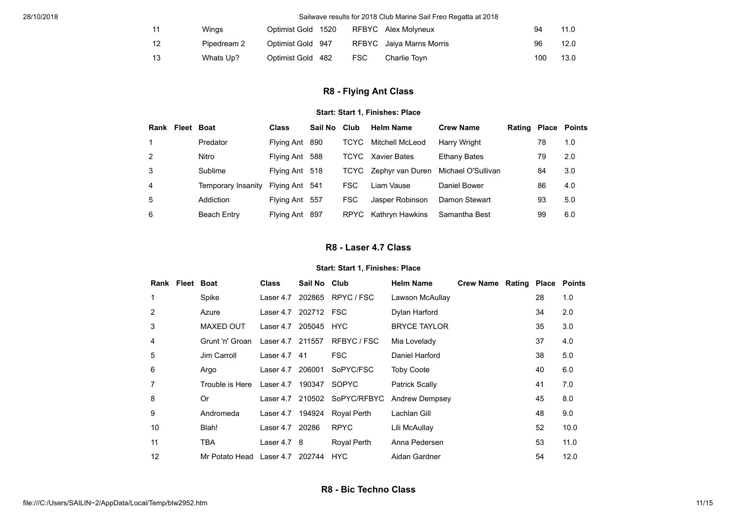| 11 | Winas       | Optimist Gold 1520 |      | RFBYC Alex Molyneux      | 94  | 11.0 |
|----|-------------|--------------------|------|--------------------------|-----|------|
| 12 | Pipedream 2 | Optimist Gold 947  |      | RFBYC Jaiya Marns Morris | 96  | 12.0 |
| 13 | Whats Up?   | Optimist Gold 482  | FSC. | Charlie Tovn             | 100 | 13.0 |

# **R8 - Flying Ant Class**

### **Start: Start 1, Finishes: Place**

<span id="page-10-0"></span>

| Rank | Fleet Boat |                    | <b>Class</b>   | Sail No | Club        | <b>Helm Name</b> | <b>Crew Name</b>    | <b>Rating Place Points</b> |    |     |
|------|------------|--------------------|----------------|---------|-------------|------------------|---------------------|----------------------------|----|-----|
|      |            | Predator           | Flying Ant 890 |         | <b>TCYC</b> | Mitchell McLeod  | Harry Wright        |                            | 78 | 1.0 |
| 2    |            | Nitro              | Flying Ant 588 |         | TCYC        | Xavier Bates     | <b>Ethany Bates</b> |                            | 79 | 2.0 |
| 3    |            | Sublime            | Flying Ant 518 |         | TCYC        | Zephyr van Duren | Michael O'Sullivan  |                            | 84 | 3.0 |
| 4    |            | Temporary Insanity | Flying Ant 541 |         | <b>FSC</b>  | Liam Vause       | Daniel Bower        |                            | 86 | 4.0 |
| 5    |            | Addiction          | Flying Ant 557 |         | <b>FSC</b>  | Jasper Robinson  | Damon Stewart       |                            | 93 | 5.0 |
| 6    |            | <b>Beach Entry</b> | Flying Ant 897 |         | <b>RPYC</b> | Kathryn Hawkins  | Samantha Best       |                            | 99 | 6.0 |

# **R8 - Laser 4.7 Class**

<span id="page-10-1"></span>

| Rank | <b>Fleet Boat</b> |                                 | <b>Class</b>         | Sail No Club |                              | <b>Helm Name</b>    | <b>Crew Name</b> | <b>Rating Place Points</b> |    |      |
|------|-------------------|---------------------------------|----------------------|--------------|------------------------------|---------------------|------------------|----------------------------|----|------|
|      |                   | Spike                           | Laser 4.7            |              | 202865 RPYC / FSC            | Lawson McAullay     |                  |                            | 28 | 1.0  |
| 2    |                   | Azure                           | Laser 4.7            | 202712 FSC   |                              | Dylan Harford       |                  |                            | 34 | 2.0  |
| 3    |                   | <b>MAXED OUT</b>                | Laser 4.7 205045 HYC |              |                              | <b>BRYCE TAYLOR</b> |                  |                            | 35 | 3.0  |
| 4    |                   | Grunt 'n' Groan                 | Laser 4.7 211557     |              | RFBYC/FSC                    | Mia Lovelady        |                  |                            | 37 | 4.0  |
| 5    |                   | Jim Carroll                     | Laser 4.7 41         |              | FSC                          | Daniel Harford      |                  |                            | 38 | 5.0  |
| 6    |                   | Argo                            | Laser 4.7            | 206001       | SoPYC/FSC                    | <b>Toby Coote</b>   |                  |                            | 40 | 6.0  |
|      |                   | Trouble is Here                 | Laser 4.7 190347     |              | <b>SOPYC</b>                 | Patrick Scally      |                  |                            | 41 | 7.0  |
| 8    |                   | 0r                              |                      |              | Laser 4.7 210502 SoPYC/RFBYC | Andrew Dempsey      |                  |                            | 45 | 8.0  |
| 9    |                   | Andromeda                       | Laser 4.7 194924     |              | Royal Perth                  | Lachlan Gill        |                  |                            | 48 | 9.0  |
| 10   |                   | Blah!                           | Laser 4.7 20286      |              | <b>RPYC</b>                  | Lili McAullay       |                  |                            | 52 | 10.0 |
| 11   |                   | TBA                             | Laser $4.7 \quad 8$  |              | Royal Perth                  | Anna Pedersen       |                  |                            | 53 | 11.0 |
| 12   |                   | Mr Potato Head Laser 4.7 202744 |                      |              | HYC                          | Aidan Gardner       |                  |                            | 54 | 12.0 |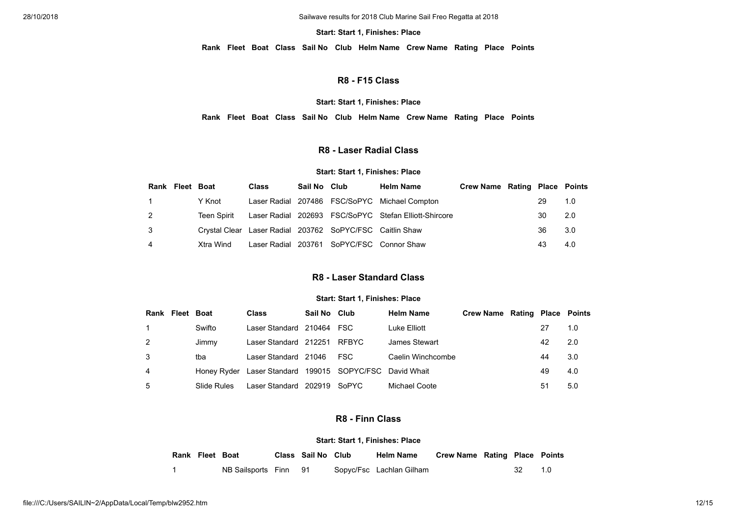#### **Start: Start 1, Finishes: Place**

**Rank Fleet Boat Class Sail No Club Helm Name Crew Name Rating Place Points**

# **R8 - F15 Class**

#### **Start: Start 1, Finishes: Place**

**Rank Fleet Boat Class Sail No Club Helm Name Crew Name Rating Place Points**

### **R8 - Laser Radial Class**

#### **Start: Start 1, Finishes: Place**

<span id="page-11-0"></span>

|   | Rank Fleet Boat |             | <b>Class</b>                                             | Sail No Club | <b>Helm Name</b>                                      | <b>Crew Name Rating Place Points</b> |    |     |
|---|-----------------|-------------|----------------------------------------------------------|--------------|-------------------------------------------------------|--------------------------------------|----|-----|
|   |                 | Y Knot      |                                                          |              | Laser Radial 207486 FSC/SoPYC Michael Compton         |                                      | 29 | 1.0 |
| 2 |                 | Teen Spirit |                                                          |              | Laser Radial 202693 FSC/SoPYC Stefan Elliott-Shircore |                                      | 30 | 2.0 |
| 3 |                 |             | Crystal Clear Laser Radial 203762 SoPYC/FSC Caitlin Shaw |              |                                                       |                                      | 36 | 3.0 |
| 4 |                 | Xtra Wind   |                                                          |              | Laser Radial 203761 SoPYC/FSC Connor Shaw             |                                      | 43 | 4.0 |

### **R8 - Laser Standard Class**

### **Start: Start 1, Finishes: Place**

<span id="page-11-1"></span>

|                | <b>Rank Fleet Boat</b> |             | <b>Class</b>                                            | Sail No Club |       | <b>Helm Name</b>  | <b>Crew Name Rating Place Points</b> |    |     |
|----------------|------------------------|-------------|---------------------------------------------------------|--------------|-------|-------------------|--------------------------------------|----|-----|
|                |                        | Swifto      | Laser Standard 210464 FSC                               |              |       | Luke Elliott      |                                      |    | 1.0 |
| 2              |                        | Jimmy       | Laser Standard 212251                                   |              | RFBYC | James Stewart     |                                      | 42 | 2.0 |
| 3              |                        | tba         | Laser Standard 21046                                    |              | FSC.  | Caelin Winchcombe |                                      | 44 | 3.0 |
| $\overline{4}$ |                        |             | Honey Ryder Laser Standard 199015 SOPYC/FSC David Whait |              |       |                   |                                      | 49 | 4.0 |
| 5              |                        | Slide Rules | Laser Standard 202919                                   |              | SoPYC | Michael Coote     |                                      | 51 | 5.0 |

### **R8 - Finn Class**

<span id="page-11-2"></span>

| Rank Fleet Boat |                       | Class Sail No Club | <b>Helm Name</b>         | <b>Crew Name Rating Place Points</b> |      |       |
|-----------------|-----------------------|--------------------|--------------------------|--------------------------------------|------|-------|
|                 | NB Sailsports Finn 91 |                    | Sopyc/Fsc Lachlan Gilham |                                      | - 32 | - 1 O |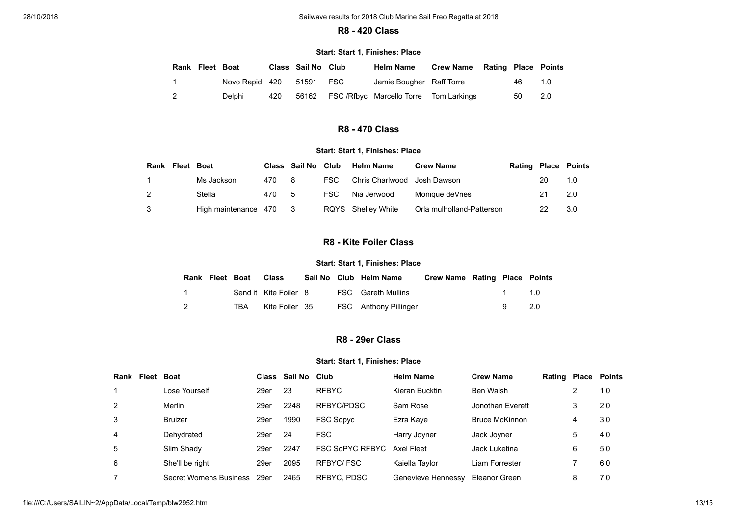### **R8 - 420 Class**

#### **Start: Start 1, Finishes: Place**

<span id="page-12-0"></span>

| Rank Fleet Boat |                          |     | Class Sail No Club | <b>Helm Name</b>                            | <b>Crew Name Rating Place Points</b> |     |     |
|-----------------|--------------------------|-----|--------------------|---------------------------------------------|--------------------------------------|-----|-----|
|                 | Novo Rapid 420 51591 FSC |     |                    | Jamie Bougher Raff Torre                    |                                      | 46. | 1.0 |
| $\overline{2}$  | Delphi                   | 420 |                    | 56162 FSC/Rfbyc Marcello Torre Tom Larkings |                                      | 50  | 2.0 |

# **R8 - 470 Class**

### **Start: Start 1, Finishes: Place**

<span id="page-12-2"></span><span id="page-12-1"></span>

| Rank | Fleet Boat |                      |     | Class Sail No Club |       | <b>Helm Name</b>            | <b>Crew Name</b>          | <b>Rating Place Points</b> |    |     |
|------|------------|----------------------|-----|--------------------|-------|-----------------------------|---------------------------|----------------------------|----|-----|
|      |            | Ms Jackson           | 470 | - 8                | FSC - | Chris Charlwood Josh Dawson |                           |                            | 20 | 1.0 |
|      |            | Stella               | 470 | -5                 | FSC.  | Nia Jerwood                 | Monique deVries           |                            |    | 2.0 |
| 3    |            | High maintenance 470 |     |                    |       | RQYS Shelley White          | Orla mulholland-Patterson |                            |    | 3.0 |

# **R8 - Kite Foiler Class**

### **Start: Start 1, Finishes: Place**

| Rank Fleet Boat |     | Class                 |  | Sail No Club Helm Name    | Crew Name Rating Place Points |       |  |
|-----------------|-----|-----------------------|--|---------------------------|-------------------------------|-------|--|
| $\sim$ 1        |     | Send it Kite Foiler 8 |  | <b>FSC</b> Gareth Mullins |                               | 1 1 0 |  |
| $\overline{2}$  | TBA | Kite Foiler 35        |  | FSC Anthony Pillinger     |                               | 9 2.0 |  |

# **R8 - 29er Class**

<span id="page-12-3"></span>

| Rank | Fleet | <b>Boat</b>            |      | Class Sail No | Club                   | <b>Helm Name</b>   | <b>Crew Name</b>      | Rating |   | <b>Place Points</b> |
|------|-------|------------------------|------|---------------|------------------------|--------------------|-----------------------|--------|---|---------------------|
|      |       | Lose Yourself          | 29er | 23            | <b>RFBYC</b>           | Kieran Bucktin     | Ben Walsh             |        |   | 1.0                 |
| 2    |       | Merlin                 | 29er | 2248          | RFBYC/PDSC             | Sam Rose           | Jonothan Everett      |        | 3 | 2.0                 |
| 3    |       | <b>Bruizer</b>         | 29er | 1990          | <b>FSC Sopyc</b>       | Ezra Kaye          | <b>Bruce McKinnon</b> |        | 4 | 3.0                 |
| 4    |       | Dehydrated             | 29er | 24            | <b>FSC</b>             | Harry Joyner       | Jack Joyner           |        | 5 | 4.0                 |
| 5    |       | Slim Shady             | 29er | 2247          | <b>FSC SoPYC RFBYC</b> | Axel Fleet         | Jack Luketina         |        | 6 | 5.0                 |
| 6    |       | She'll be right        | 29er | 2095          | RFBYC/FSC              | Kaiella Taylor     | Liam Forrester        |        |   | 6.0                 |
| 7    |       | Secret Womens Business | 29er | 2465          | RFBYC, PDSC            | Genevieve Hennessy | Eleanor Green         |        | 8 | 7.0                 |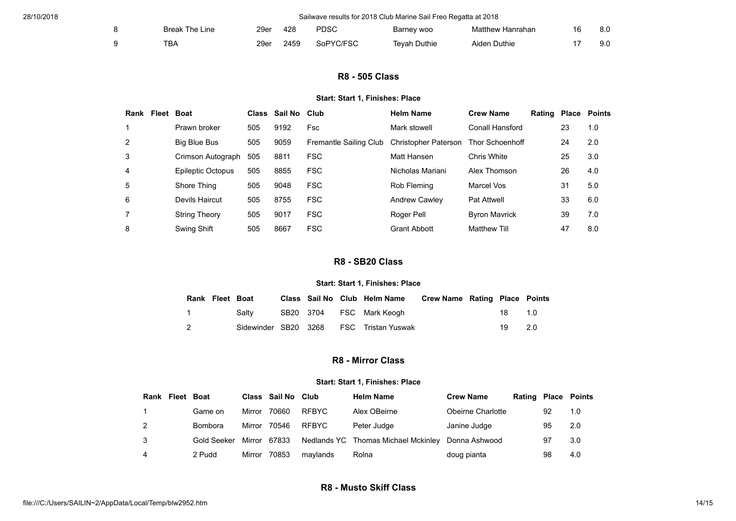<span id="page-13-0"></span>

| <b>Break The Line</b> | 29er | 428  | <b>PDSC</b> | Barney woo          | Matthew Hanrahan | 8.0 |
|-----------------------|------|------|-------------|---------------------|------------------|-----|
| TBA                   | 29er | 2459 | SoPYC/FSC   | <b>Tevah Duthie</b> | Aiden Duthie     | 9.0 |

# **R8 - 505 Class**

### **Start: Start 1, Finishes: Place**

| Rank | Fleet | <b>Boat</b>       |     | Class Sail No Club |                        | <b>Helm Name</b>            | <b>Crew Name</b>       | <b>Rating Place</b> |    | <b>Points</b> |
|------|-------|-------------------|-----|--------------------|------------------------|-----------------------------|------------------------|---------------------|----|---------------|
|      |       | Prawn broker      | 505 | 9192               | Fsc                    | Mark stowell                | Conall Hansford        |                     | 23 | 1.0           |
| 2    |       | Big Blue Bus      | 505 | 9059               | Fremantle Sailing Club | <b>Christopher Paterson</b> | <b>Thor Schoenhoff</b> |                     | 24 | 2.0           |
| 3    |       | Crimson Autograph | 505 | 8811               | <b>FSC</b>             | Matt Hansen                 | Chris White            |                     | 25 | 3.0           |
| 4    |       | Epileptic Octopus | 505 | 8855               | <b>FSC</b>             | Nicholas Mariani            | Alex Thomson           |                     | 26 | 4.0           |
| 5    |       | Shore Thing       | 505 | 9048               | <b>FSC</b>             | Rob Fleming                 | Marcel Vos             |                     | 31 | 5.0           |
| 6    |       | Devils Haircut    | 505 | 8755               | <b>FSC</b>             | <b>Andrew Cawley</b>        | <b>Pat Attwell</b>     |                     | 33 | 6.0           |
|      |       | String Theory     | 505 | 9017               | <b>FSC</b>             | Roger Pell                  | <b>Byron Mavrick</b>   |                     | 39 | 7.0           |
| 8    |       | Swing Shift       | 505 | 8667               | <b>FSC</b>             | <b>Grant Abbott</b>         | <b>Matthew Till</b>    |                     | 47 | 8.0           |

# **R8 - SB20 Class**

### **Start: Start 1, Finishes: Place**

<span id="page-13-1"></span>

| Rank Fleet Boat |       |  | Class Sail No Club Helm Name Crew Name Rating Place Points |  |        |     |
|-----------------|-------|--|------------------------------------------------------------|--|--------|-----|
|                 | Saltv |  | SB20 3704 FSC Mark Keogh                                   |  |        | 1.0 |
| $\overline{2}$  |       |  | Sidewinder SB20 3268 FSC Tristan Yuswak                    |  | 19 2.0 |     |

# **R8 - Mirror Class**

### **Start: Start 1, Finishes: Place**

<span id="page-13-2"></span>

| Rank | Fleet | Boat           |        | Class Sail No | <b>Club</b> | <b>Helm Name</b>                    | <b>Crew Name</b>  | Rating |    | <b>Place Points</b> |
|------|-------|----------------|--------|---------------|-------------|-------------------------------------|-------------------|--------|----|---------------------|
|      |       | Game on        | Mirror | 70660         | RFBYC       | Alex OBeirne                        | Obeirne Charlotte |        | 92 | 1.0                 |
|      |       | <b>Bombora</b> | Mirror | 70546         | RFBYC       | Peter Judge                         | Janine Judge      |        | 95 | 2.0                 |
|      |       | Gold Seeker    | Mirror | 67833         |             | Nedlands YC Thomas Michael Mckinley | Donna Ashwood     |        | 97 | 3.0                 |
| 4    |       | 2 Pudd         | Mirror | 70853         | maylands    | Rolna                               | doug pianta       |        | 98 | 4.0                 |

# **R8 - Musto Skiff Class**